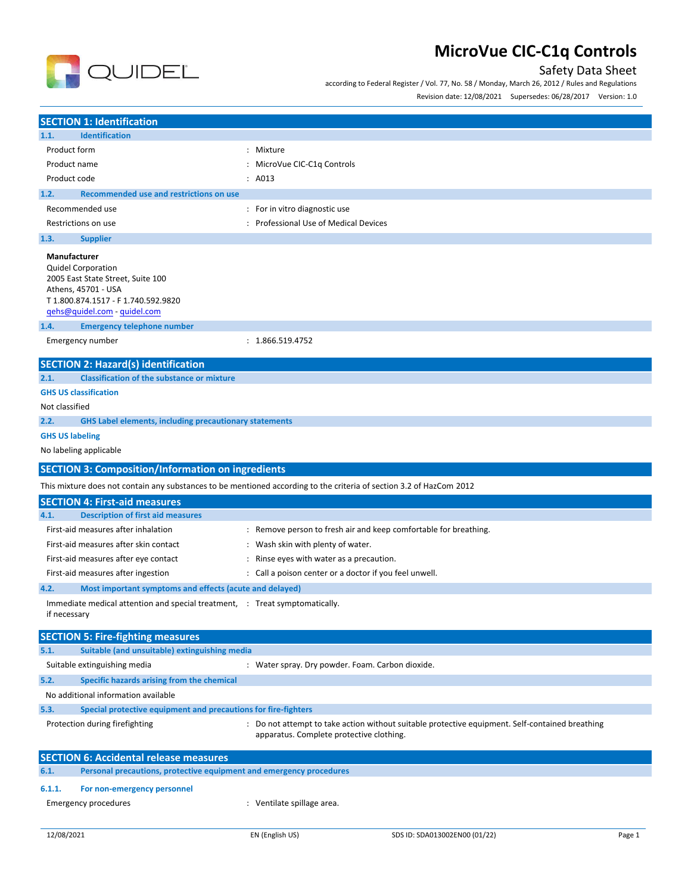

## Safety Data Sheet

according to Federal Register / Vol. 77, No. 58 / Monday, March 26, 2012 / Rules and Regulations

Revision date: 12/08/2021 Supersedes: 06/28/2017 Version: 1.0

|                                                                                                                                                                               | <b>SECTION 1: Identification</b>                                                                       |                                                                                                                      |  |  |
|-------------------------------------------------------------------------------------------------------------------------------------------------------------------------------|--------------------------------------------------------------------------------------------------------|----------------------------------------------------------------------------------------------------------------------|--|--|
| 1.1.                                                                                                                                                                          | <b>Identification</b>                                                                                  |                                                                                                                      |  |  |
| Product form<br>: Mixture                                                                                                                                                     |                                                                                                        |                                                                                                                      |  |  |
| Product name                                                                                                                                                                  |                                                                                                        | : MicroVue CIC-C1q Controls                                                                                          |  |  |
| Product code                                                                                                                                                                  |                                                                                                        | : A013                                                                                                               |  |  |
| 1.2.                                                                                                                                                                          | Recommended use and restrictions on use                                                                |                                                                                                                      |  |  |
| Recommended use                                                                                                                                                               |                                                                                                        | : For in vitro diagnostic use                                                                                        |  |  |
| Restrictions on use                                                                                                                                                           |                                                                                                        | : Professional Use of Medical Devices                                                                                |  |  |
| 1.3.                                                                                                                                                                          | <b>Supplier</b>                                                                                        |                                                                                                                      |  |  |
| Manufacturer<br><b>Quidel Corporation</b><br>Athens, 45701 - USA                                                                                                              | 2005 East State Street, Suite 100<br>T1.800.874.1517 - F1.740.592.9820<br>qehs@quidel.com - quidel.com |                                                                                                                      |  |  |
| 1.4.                                                                                                                                                                          | <b>Emergency telephone number</b>                                                                      |                                                                                                                      |  |  |
| Emergency number                                                                                                                                                              |                                                                                                        | : 1.866.519.4752                                                                                                     |  |  |
|                                                                                                                                                                               | <b>SECTION 2: Hazard(s) identification</b>                                                             |                                                                                                                      |  |  |
| 2.1.                                                                                                                                                                          | <b>Classification of the substance or mixture</b>                                                      |                                                                                                                      |  |  |
| <b>GHS US classification</b>                                                                                                                                                  |                                                                                                        |                                                                                                                      |  |  |
| Not classified                                                                                                                                                                |                                                                                                        |                                                                                                                      |  |  |
| 2.2.                                                                                                                                                                          | <b>GHS Label elements, including precautionary statements</b>                                          |                                                                                                                      |  |  |
| <b>GHS US labeling</b>                                                                                                                                                        |                                                                                                        |                                                                                                                      |  |  |
| No labeling applicable                                                                                                                                                        |                                                                                                        |                                                                                                                      |  |  |
|                                                                                                                                                                               | <b>SECTION 3: Composition/Information on ingredients</b>                                               |                                                                                                                      |  |  |
|                                                                                                                                                                               |                                                                                                        | This mixture does not contain any substances to be mentioned according to the criteria of section 3.2 of HazCom 2012 |  |  |
|                                                                                                                                                                               | <b>SECTION 4: First-aid measures</b>                                                                   |                                                                                                                      |  |  |
| 4.1.                                                                                                                                                                          | <b>Description of first aid measures</b>                                                               |                                                                                                                      |  |  |
|                                                                                                                                                                               | First-aid measures after inhalation                                                                    | : Remove person to fresh air and keep comfortable for breathing.                                                     |  |  |
|                                                                                                                                                                               | First-aid measures after skin contact                                                                  | : Wash skin with plenty of water.                                                                                    |  |  |
|                                                                                                                                                                               | First-aid measures after eye contact                                                                   | : Rinse eyes with water as a precaution.                                                                             |  |  |
|                                                                                                                                                                               | First-aid measures after ingestion                                                                     | : Call a poison center or a doctor if you feel unwell.                                                               |  |  |
| 4.2.                                                                                                                                                                          | Most important symptoms and effects (acute and delayed)                                                |                                                                                                                      |  |  |
| if necessary                                                                                                                                                                  | Immediate medical attention and special treatment, : Treat symptomatically.                            |                                                                                                                      |  |  |
|                                                                                                                                                                               | <b>SECTION 5: Fire-fighting measures</b>                                                               |                                                                                                                      |  |  |
| 5.1.                                                                                                                                                                          | Suitable (and unsuitable) extinguishing media                                                          |                                                                                                                      |  |  |
|                                                                                                                                                                               | Suitable extinguishing media                                                                           | : Water spray. Dry powder. Foam. Carbon dioxide.                                                                     |  |  |
| 5.2.<br>Specific hazards arising from the chemical                                                                                                                            |                                                                                                        |                                                                                                                      |  |  |
|                                                                                                                                                                               | No additional information available                                                                    |                                                                                                                      |  |  |
| 5.3.                                                                                                                                                                          | Special protective equipment and precautions for fire-fighters                                         |                                                                                                                      |  |  |
| : Do not attempt to take action without suitable protective equipment. Self-contained breathing<br>Protection during firefighting<br>apparatus. Complete protective clothing. |                                                                                                        |                                                                                                                      |  |  |
| <b>SECTION 6: Accidental release measures</b>                                                                                                                                 |                                                                                                        |                                                                                                                      |  |  |
| 6.1.                                                                                                                                                                          | Personal precautions, protective equipment and emergency procedures                                    |                                                                                                                      |  |  |
|                                                                                                                                                                               |                                                                                                        |                                                                                                                      |  |  |
| 6.1.1.                                                                                                                                                                        | For non-emergency personnel                                                                            |                                                                                                                      |  |  |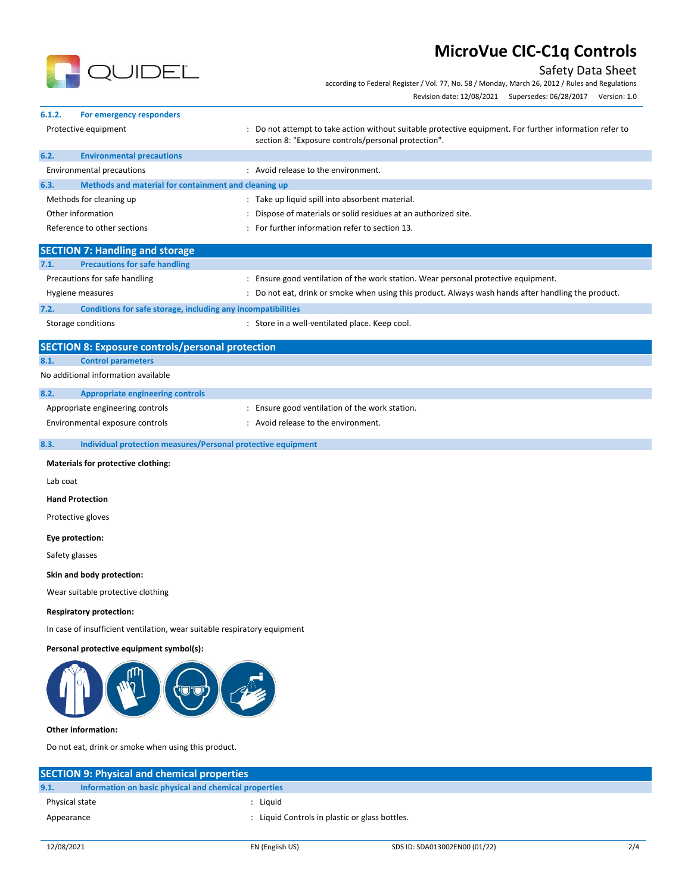

## Safety Data Sheet

according to Federal Register / Vol. 77, No. 58 / Monday, March 26, 2012 / Rules and Regulations

| Revision date: 12/08/2021 | Supersedes: 06/28/2017 | Version: 1.0 |
|---------------------------|------------------------|--------------|
|                           |                        |              |

| 6.1.2.<br>For emergency responders                                       |                                                                                                                                                                |
|--------------------------------------------------------------------------|----------------------------------------------------------------------------------------------------------------------------------------------------------------|
| Protective equipment                                                     | : Do not attempt to take action without suitable protective equipment. For further information refer to<br>section 8: "Exposure controls/personal protection". |
| 6.2.<br><b>Environmental precautions</b>                                 |                                                                                                                                                                |
| <b>Environmental precautions</b>                                         | : Avoid release to the environment.                                                                                                                            |
| 6.3.<br>Methods and material for containment and cleaning up             |                                                                                                                                                                |
| Methods for cleaning up                                                  | : Take up liquid spill into absorbent material.                                                                                                                |
| Other information                                                        | Dispose of materials or solid residues at an authorized site.                                                                                                  |
| Reference to other sections                                              | For further information refer to section 13.                                                                                                                   |
| <b>SECTION 7: Handling and storage</b>                                   |                                                                                                                                                                |
| <b>Precautions for safe handling</b><br>7.1.                             |                                                                                                                                                                |
| Precautions for safe handling                                            | : Ensure good ventilation of the work station. Wear personal protective equipment.                                                                             |
| Hygiene measures                                                         | : Do not eat, drink or smoke when using this product. Always wash hands after handling the product.                                                            |
| 7.2.<br>Conditions for safe storage, including any incompatibilities     |                                                                                                                                                                |
| Storage conditions                                                       | : Store in a well-ventilated place. Keep cool.                                                                                                                 |
| <b>SECTION 8: Exposure controls/personal protection</b>                  |                                                                                                                                                                |
| 8.1.<br><b>Control parameters</b>                                        |                                                                                                                                                                |
| No additional information available                                      |                                                                                                                                                                |
| 8.2.<br><b>Appropriate engineering controls</b>                          |                                                                                                                                                                |
| Appropriate engineering controls                                         | : Ensure good ventilation of the work station.                                                                                                                 |
| Environmental exposure controls                                          | : Avoid release to the environment.                                                                                                                            |
| 8.3.<br>Individual protection measures/Personal protective equipment     |                                                                                                                                                                |
| Materials for protective clothing:                                       |                                                                                                                                                                |
| Lab coat                                                                 |                                                                                                                                                                |
| <b>Hand Protection</b>                                                   |                                                                                                                                                                |
| Protective gloves                                                        |                                                                                                                                                                |
| Eye protection:                                                          |                                                                                                                                                                |
| Safety glasses                                                           |                                                                                                                                                                |
| Skin and body protection:                                                |                                                                                                                                                                |
| Wear suitable protective clothing                                        |                                                                                                                                                                |
| <b>Respiratory protection:</b>                                           |                                                                                                                                                                |
| In case of insufficient ventilation, wear suitable respiratory equipment |                                                                                                                                                                |
| Personal protective equipment symbol(s):                                 |                                                                                                                                                                |
|                                                                          |                                                                                                                                                                |
| <b>Other information:</b>                                                |                                                                                                                                                                |
| Do not eat, drink or smoke when using this product.                      |                                                                                                                                                                |
|                                                                          |                                                                                                                                                                |
| <b>SECTION 9: Physical and chemical properties</b>                       |                                                                                                                                                                |

**9.1. Information on basic physical and chemical properties** Physical state in the state of the state of the state of the state of the state of the state of the state of the state of the state of the state of the state of the state of the state of the state of the state of the state

Appearance **in the controllation of the Controls** : Liquid Controls in plastic or glass bottles.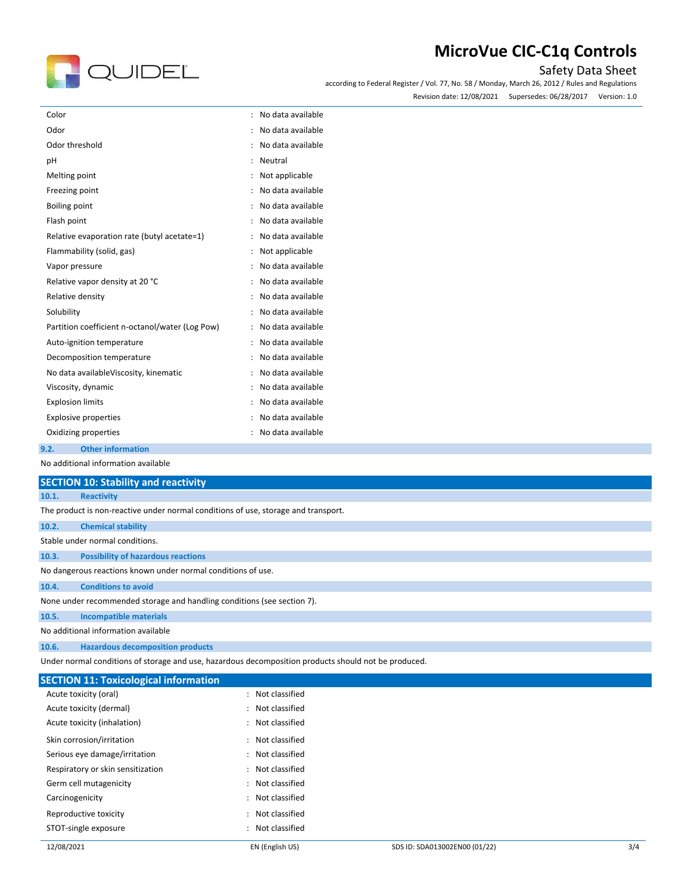

### Safety Data Sheet

according to Federal Register / Vol. 77, No. 58 / Monday, March 26, 2012 / Rules and Regulations Revision date: 12/08/2021 Supersedes: 06/28/2017 Version: 1.0

| Color                                                             | No data available |
|-------------------------------------------------------------------|-------------------|
| Odor                                                              | No data available |
| Odor threshold                                                    | No data available |
| pH                                                                | Neutral           |
| Melting point                                                     | Not applicable    |
| Freezing point                                                    | No data available |
| Boiling point<br>$\ddot{\cdot}$                                   | No data available |
| Flash point                                                       | No data available |
| Relative evaporation rate (butyl acetate=1)                       | No data available |
| Flammability (solid, gas)                                         | Not applicable    |
| Vapor pressure                                                    | No data available |
| Relative vapor density at 20 °C<br>$\ddot{\cdot}$                 | No data available |
| Relative density                                                  | No data available |
| Solubility                                                        | No data available |
| Partition coefficient n-octanol/water (Log Pow)<br>$\ddot{\cdot}$ | No data available |
| Auto-ignition temperature                                         | No data available |
| Decomposition temperature<br>$\ddot{\phantom{0}}$                 | No data available |
| No data availableViscosity, kinematic                             | No data available |
| Viscosity, dynamic                                                | No data available |
| <b>Explosion limits</b><br>$\ddot{\cdot}$                         | No data available |
| <b>Explosive properties</b>                                       | No data available |
| Oxidizing properties                                              | No data available |

#### **9.2. Other information**

No additional information available

| <b>SECTION 10: Stability and reactivity</b>                                        |                                           |  |
|------------------------------------------------------------------------------------|-------------------------------------------|--|
| 10.1.                                                                              | <b>Reactivity</b>                         |  |
| The product is non-reactive under normal conditions of use, storage and transport. |                                           |  |
| 10.2.                                                                              | <b>Chemical stability</b>                 |  |
| Stable under normal conditions.                                                    |                                           |  |
| 10.3.                                                                              | <b>Possibility of hazardous reactions</b> |  |
| No dangerous reactions known under normal conditions of use.                       |                                           |  |
| 10.4.                                                                              | <b>Conditions to avoid</b>                |  |
| None under recommended storage and handling conditions (see section 7).            |                                           |  |
| 10.5.                                                                              | <b>Incompatible materials</b>             |  |
| No additional information available                                                |                                           |  |

**10.6. Hazardous decomposition products**

Under normal conditions of storage and use, hazardous decomposition products should not be produced.

| <b>SECTION 11: Toxicological information</b> |                     |  |  |  |
|----------------------------------------------|---------------------|--|--|--|
| Acute toxicity (oral)                        | $:$ Not classified  |  |  |  |
| Acute toxicity (dermal)                      | Not classified      |  |  |  |
| Acute toxicity (inhalation)                  | : Not classified    |  |  |  |
| Skin corrosion/irritation                    | Not classified      |  |  |  |
| Serious eye damage/irritation                | : Not classified    |  |  |  |
| Respiratory or skin sensitization            | Not classified      |  |  |  |
| Germ cell mutagenicity                       | : Not classified    |  |  |  |
| Carcinogenicity                              | Not classified      |  |  |  |
| Reproductive toxicity                        | Not classified<br>÷ |  |  |  |
| STOT-single exposure                         | Not classified      |  |  |  |